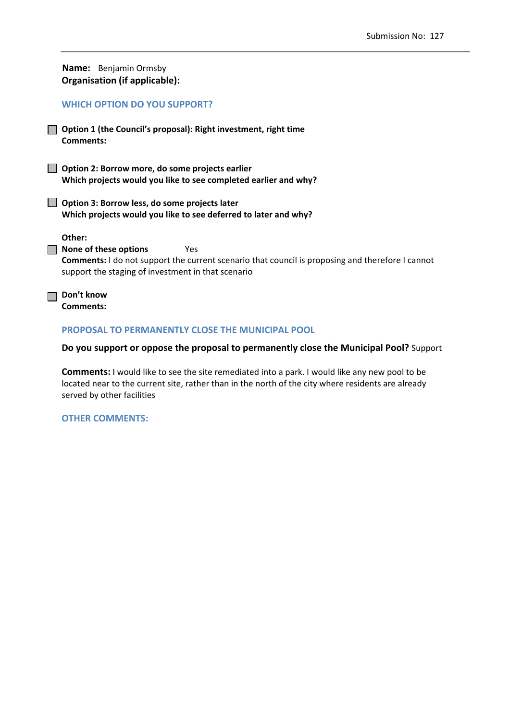|                                      | Name: Benjamin Ormsby |
|--------------------------------------|-----------------------|
| <b>Organisation (if applicable):</b> |                       |

### **WHICH OPTION DO YOU SUPPORT?**

**Option 1 (the Council's proposal): Right investment, right time Comments:** 

**Option 2: Borrow more, do some projects earlier Which projects would you like to see completed earlier and why?**

**Option 3: Borrow less, do some projects later Which projects would you like to see deferred to later and why?**

**Other:**

**None of these options**  Yes **Comments:** I do not support the current scenario that council is proposing and therefore I cannot support the staging of investment in that scenario

**Don't know Comments:** 

### **PROPOSAL TO PERMANENTLY CLOSE THE MUNICIPAL POOL**

#### **Do you support or oppose the proposal to permanently close the Municipal Pool?** Support

**Comments:** I would like to see the site remediated into a park. I would like any new pool to be located near to the current site, rather than in the north of the city where residents are already served by other facilities

### **OTHER COMMENTS:**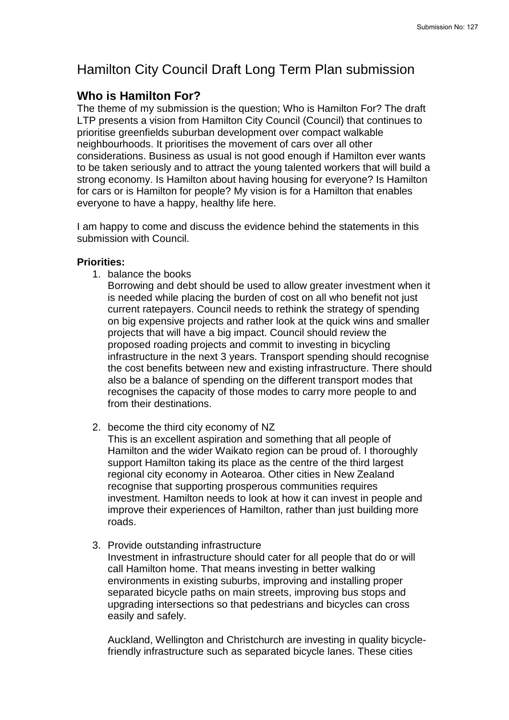# Hamilton City Council Draft Long Term Plan submission

# **Who is Hamilton For?**

The theme of my submission is the question; Who is Hamilton For? The draft LTP presents a vision from Hamilton City Council (Council) that continues to prioritise greenfields suburban development over compact walkable neighbourhoods. It prioritises the movement of cars over all other considerations. Business as usual is not good enough if Hamilton ever wants to be taken seriously and to attract the young talented workers that will build a strong economy. Is Hamilton about having housing for everyone? Is Hamilton for cars or is Hamilton for people? My vision is for a Hamilton that enables everyone to have a happy, healthy life here.

I am happy to come and discuss the evidence behind the statements in this submission with Council.

## **Priorities:**

1. balance the books

Borrowing and debt should be used to allow greater investment when it is needed while placing the burden of cost on all who benefit not just current ratepayers. Council needs to rethink the strategy of spending on big expensive projects and rather look at the quick wins and smaller projects that will have a big impact. Council should review the proposed roading projects and commit to investing in bicycling infrastructure in the next 3 years. Transport spending should recognise the cost benefits between new and existing infrastructure. There should also be a balance of spending on the different transport modes that recognises the capacity of those modes to carry more people to and from their destinations.

2. become the third city economy of NZ

This is an excellent aspiration and something that all people of Hamilton and the wider Waikato region can be proud of. I thoroughly support Hamilton taking its place as the centre of the third largest regional city economy in Aotearoa. Other cities in New Zealand recognise that supporting prosperous communities requires investment. Hamilton needs to look at how it can invest in people and improve their experiences of Hamilton, rather than just building more roads.

3. Provide outstanding infrastructure

Investment in infrastructure should cater for all people that do or will call Hamilton home. That means investing in better walking environments in existing suburbs, improving and installing proper separated bicycle paths on main streets, improving bus stops and upgrading intersections so that pedestrians and bicycles can cross easily and safely.

Auckland, Wellington and Christchurch are investing in quality bicyclefriendly infrastructure such as separated bicycle lanes. These cities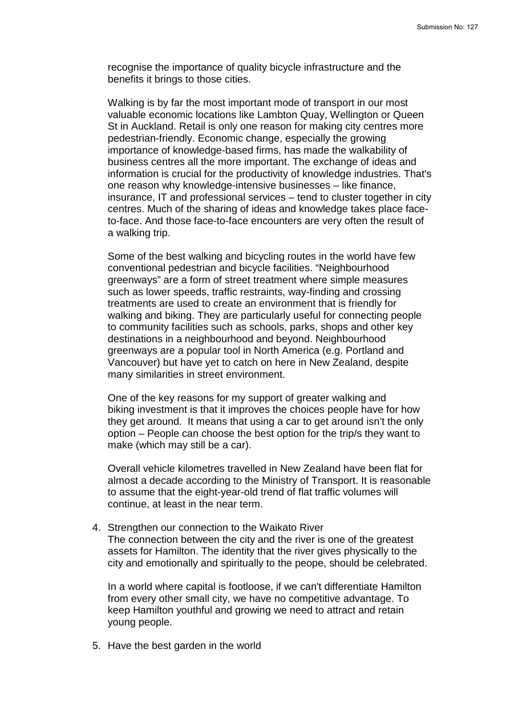recognise the importance of quality bicycle infrastructure and the benefits it brings to those cities.

Walking is by far the most important mode of transport in our most valuable economic locations like Lambton Quay, Wellington or Queen St in Auckland. Retail is only one reason for making city centres more pedestrian-friendly. Economic change, especially the growing importance of knowledge-based firms, has made the walkability of business centres all the more important. The exchange of ideas and information is crucial for the productivity of knowledge industries. That's one reason why knowledge-intensive businesses – like finance, insurance, IT and professional services – tend to cluster together in city centres. Much of the sharing of ideas and knowledge takes place faceto-face. And those face-to-face encounters are very often the result of a walking trip.

Some of the best walking and bicycling routes in the world have few conventional pedestrian and bicycle facilities. "Neighbourhood greenways" are a form of street treatment where simple measures such as lower speeds, traffic restraints, way-finding and crossing treatments are used to create an environment that is friendly for walking and biking. They are particularly useful for connecting people to community facilities such as schools, parks, shops and other key destinations in a neighbourhood and beyond. Neighbourhood greenways are a popular tool in North America (e.g. Portland and Vancouver) but have yet to catch on here in New Zealand, despite many similarities in street environment.

One of the key reasons for my support of greater walking and biking investment is that it improves the choices people have for how they get around. It means that using a car to get around isn't the only option – People can choose the best option for the trip/s they want to make (which may still be a car).

Overall vehicle kilometres travelled in New Zealand have been flat for almost a decade according to the Ministry of Transport. It is reasonable to assume that the eight-year-old trend of flat traffic volumes will continue, at least in the near term.

4. Strengthen our connection to the Waikato River The connection between the city and the river is one of the greatest assets for Hamilton. The identity that the river gives physically to the city and emotionally and spiritually to the peope, should be celebrated.

In a world where capital is footloose, if we can't differentiate Hamilton from every other small city, we have no competitive advantage. To keep Hamilton youthful and growing we need to attract and retain young people.

5. Have the best garden in the world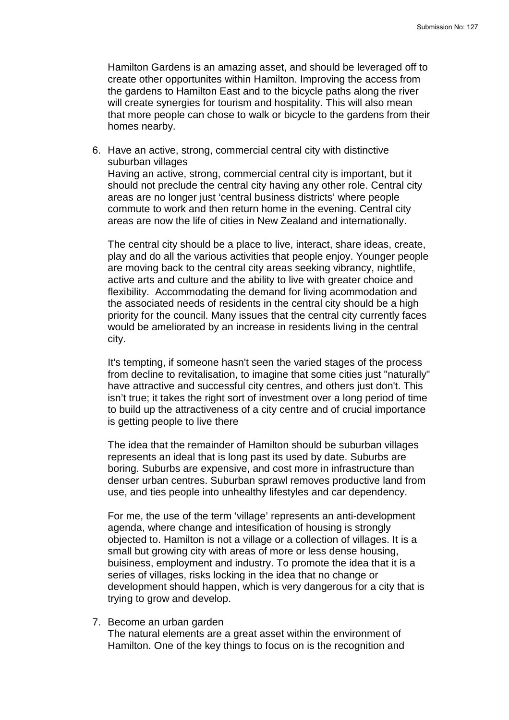Hamilton Gardens is an amazing asset, and should be leveraged off to create other opportunites within Hamilton. Improving the access from the gardens to Hamilton East and to the bicycle paths along the river will create synergies for tourism and hospitality. This will also mean that more people can chose to walk or bicycle to the gardens from their homes nearby.

6. Have an active, strong, commercial central city with distinctive suburban villages Having an active, strong, commercial central city is important, but it should not preclude the central city having any other role. Central city areas are no longer just 'central business districts' where people commute to work and then return home in the evening. Central city areas are now the life of cities in New Zealand and internationally.

The central city should be a place to live, interact, share ideas, create, play and do all the various activities that people enjoy. Younger people are moving back to the central city areas seeking vibrancy, nightlife, active arts and culture and the ability to live with greater choice and flexibility. Accommodating the demand for living acommodation and the associated needs of residents in the central city should be a high priority for the council. Many issues that the central city currently faces would be ameliorated by an increase in residents living in the central city.

It's tempting, if someone hasn't seen the varied stages of the process from decline to revitalisation, to imagine that some cities just "naturally" have attractive and successful city centres, and others just don't. This isn't true; it takes the right sort of investment over a long period of time to build up the attractiveness of a city centre and of crucial importance is getting people to live there

The idea that the remainder of Hamilton should be suburban villages represents an ideal that is long past its used by date. Suburbs are boring. Suburbs are expensive, and cost more in infrastructure than denser urban centres. Suburban sprawl removes productive land from use, and ties people into unhealthy lifestyles and car dependency.

For me, the use of the term 'village' represents an anti-development agenda, where change and intesification of housing is strongly objected to. Hamilton is not a village or a collection of villages. It is a small but growing city with areas of more or less dense housing, buisiness, employment and industry. To promote the idea that it is a series of villages, risks locking in the idea that no change or development should happen, which is very dangerous for a city that is trying to grow and develop.

7. Become an urban garden

The natural elements are a great asset within the environment of Hamilton. One of the key things to focus on is the recognition and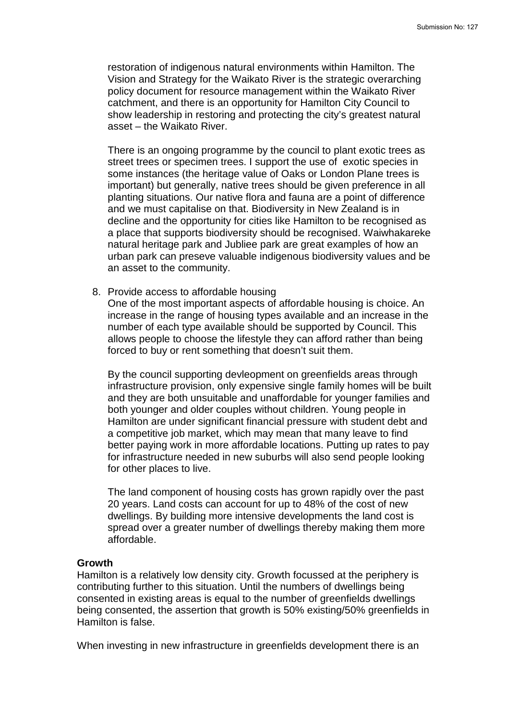restoration of indigenous natural environments within Hamilton. The Vision and Strategy for the Waikato River is the strategic overarching policy document for resource management within the Waikato River catchment, and there is an opportunity for Hamilton City Council to show leadership in restoring and protecting the city's greatest natural asset – the Waikato River.

There is an ongoing programme by the council to plant exotic trees as street trees or specimen trees. I support the use of exotic species in some instances (the heritage value of Oaks or London Plane trees is important) but generally, native trees should be given preference in all planting situations. Our native flora and fauna are a point of difference and we must capitalise on that. Biodiversity in New Zealand is in decline and the opportunity for cities like Hamilton to be recognised as a place that supports biodiversity should be recognised. Waiwhakareke natural heritage park and Jubliee park are great examples of how an urban park can preseve valuable indigenous biodiversity values and be an asset to the community.

8. Provide access to affordable housing

One of the most important aspects of affordable housing is choice. An increase in the range of housing types available and an increase in the number of each type available should be supported by Council. This allows people to choose the lifestyle they can afford rather than being forced to buy or rent something that doesn't suit them.

By the council supporting devleopment on greenfields areas through infrastructure provision, only expensive single family homes will be built and they are both unsuitable and unaffordable for younger families and both younger and older couples without children. Young people in Hamilton are under significant financial pressure with student debt and a competitive job market, which may mean that many leave to find better paying work in more affordable locations. Putting up rates to pay for infrastructure needed in new suburbs will also send people looking for other places to live.

The land component of housing costs has grown rapidly over the past 20 years. Land costs can account for up to 48% of the cost of new dwellings. By building more intensive developments the land cost is spread over a greater number of dwellings thereby making them more affordable.

### **Growth**

Hamilton is a relatively low density city. Growth focussed at the periphery is contributing further to this situation. Until the numbers of dwellings being consented in existing areas is equal to the number of greenfields dwellings being consented, the assertion that growth is 50% existing/50% greenfields in Hamilton is false.

When investing in new infrastructure in greenfields development there is an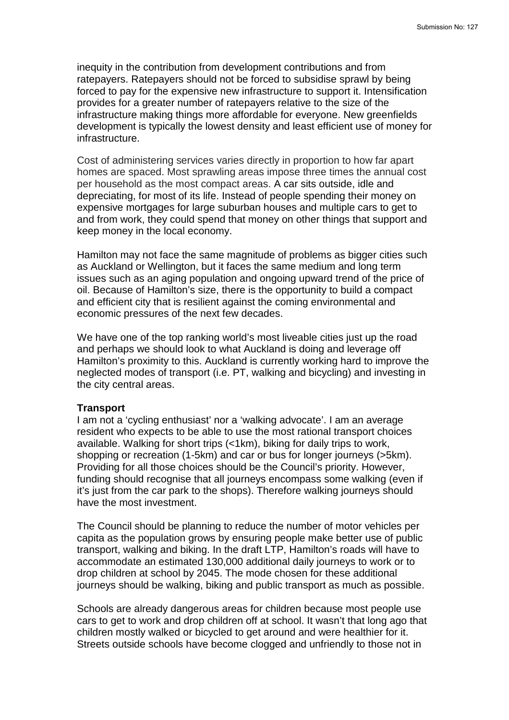inequity in the contribution from development contributions and from ratepayers. Ratepayers should not be forced to subsidise sprawl by being forced to pay for the expensive new infrastructure to support it. Intensification provides for a greater number of ratepayers relative to the size of the infrastructure making things more affordable for everyone. New greenfields development is typically the lowest density and least efficient use of money for infrastructure.

Cost of administering services varies directly in proportion to how far apart homes are spaced. Most sprawling areas impose three times the annual cost per household as the most compact areas. A car sits outside, idle and depreciating, for most of its life. Instead of people spending their money on expensive mortgages for large suburban houses and multiple cars to get to and from work, they could spend that money on other things that support and keep money in the local economy.

Hamilton may not face the same magnitude of problems as bigger cities such as Auckland or Wellington, but it faces the same medium and long term issues such as an aging population and ongoing upward trend of the price of oil. Because of Hamilton's size, there is the opportunity to build a compact and efficient city that is resilient against the coming environmental and economic pressures of the next few decades.

We have one of the top ranking world's most liveable cities just up the road and perhaps we should look to what Auckland is doing and leverage off Hamilton's proximity to this. Auckland is currently working hard to improve the neglected modes of transport (i.e. PT, walking and bicycling) and investing in the city central areas.

### **Transport**

I am not a 'cycling enthusiast' nor a 'walking advocate'. I am an average resident who expects to be able to use the most rational transport choices available. Walking for short trips (<1km), biking for daily trips to work, shopping or recreation (1-5km) and car or bus for longer journeys (>5km). Providing for all those choices should be the Council's priority. However, funding should recognise that all journeys encompass some walking (even if it's just from the car park to the shops). Therefore walking journeys should have the most investment.

The Council should be planning to reduce the number of motor vehicles per capita as the population grows by ensuring people make better use of public transport, walking and biking. In the draft LTP, Hamilton's roads will have to accommodate an estimated 130,000 additional daily journeys to work or to drop children at school by 2045. The mode chosen for these additional journeys should be walking, biking and public transport as much as possible.

Schools are already dangerous areas for children because most people use cars to get to work and drop children off at school. It wasn't that long ago that children mostly walked or bicycled to get around and were healthier for it. Streets outside schools have become clogged and unfriendly to those not in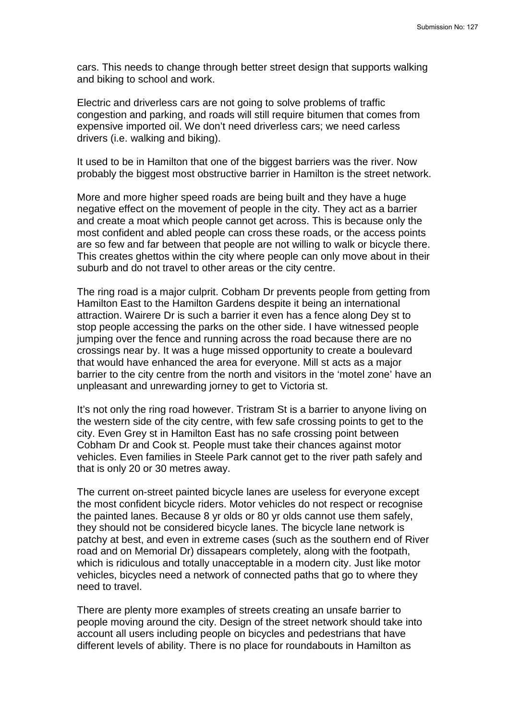cars. This needs to change through better street design that supports walking and biking to school and work.

Electric and driverless cars are not going to solve problems of traffic congestion and parking, and roads will still require bitumen that comes from expensive imported oil. We don't need driverless cars; we need carless drivers (i.e. walking and biking).

It used to be in Hamilton that one of the biggest barriers was the river. Now probably the biggest most obstructive barrier in Hamilton is the street network.

More and more higher speed roads are being built and they have a huge negative effect on the movement of people in the city. They act as a barrier and create a moat which people cannot get across. This is because only the most confident and abled people can cross these roads, or the access points are so few and far between that people are not willing to walk or bicycle there. This creates ghettos within the city where people can only move about in their suburb and do not travel to other areas or the city centre.

The ring road is a major culprit. Cobham Dr prevents people from getting from Hamilton East to the Hamilton Gardens despite it being an international attraction. Wairere Dr is such a barrier it even has a fence along Dey st to stop people accessing the parks on the other side. I have witnessed people jumping over the fence and running across the road because there are no crossings near by. It was a huge missed opportunity to create a boulevard that would have enhanced the area for everyone. Mill st acts as a major barrier to the city centre from the north and visitors in the 'motel zone' have an unpleasant and unrewarding jorney to get to Victoria st.

It's not only the ring road however. Tristram St is a barrier to anyone living on the western side of the city centre, with few safe crossing points to get to the city. Even Grey st in Hamilton East has no safe crossing point between Cobham Dr and Cook st. People must take their chances against motor vehicles. Even families in Steele Park cannot get to the river path safely and that is only 20 or 30 metres away.

The current on-street painted bicycle lanes are useless for everyone except the most confident bicycle riders. Motor vehicles do not respect or recognise the painted lanes. Because 8 yr olds or 80 yr olds cannot use them safely, they should not be considered bicycle lanes. The bicycle lane network is patchy at best, and even in extreme cases (such as the southern end of River road and on Memorial Dr) dissapears completely, along with the footpath, which is ridiculous and totally unacceptable in a modern city. Just like motor vehicles, bicycles need a network of connected paths that go to where they need to travel.

There are plenty more examples of streets creating an unsafe barrier to people moving around the city. Design of the street network should take into account all users including people on bicycles and pedestrians that have different levels of ability. There is no place for roundabouts in Hamilton as